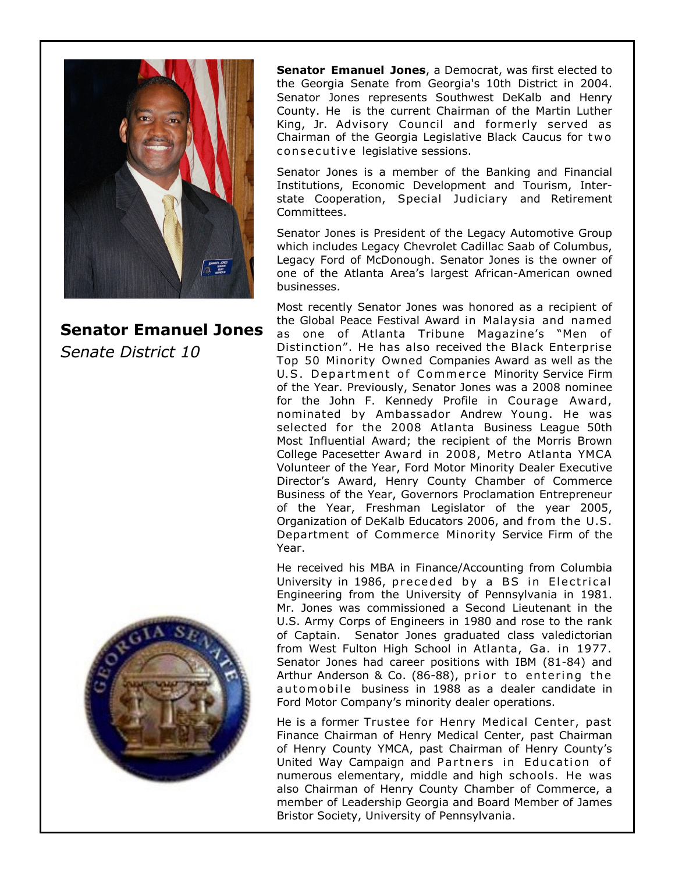

**Senator Emanuel Jones** *Senate District 10*



**Senator Emanuel Jones**, a Democrat, was first elected to the Georgia Senate from Georgia's 10th District in 2004. Senator Jones represents Southwest DeKalb and Henry County. He is the current Chairman of the Martin Luther King, Jr. Advisory Council and formerly served as Chairman of the Georgia Legislative Black Caucus for tw o con secutive legislative sessions.

Senator Jones is a member of the Banking and Financial Institutions, Economic Development and Tourism, Interstate Cooperation, Special Judiciary and Retirement Committees.

Senator Jones is President of the Legacy Automotive Group which includes Legacy Chevrolet Cadillac Saab of Columbus, Legacy Ford of McDonough. Senator Jones is the owner of one of the Atlanta Area's largest African-American owned businesses.

Most recently Senator Jones was honored as a recipient of the Global Peace Festival Award in Malaysia and named as one of Atlanta Tribune Magazine's "Men of Distinction". He has also received the Black Enterprise Top 50 Minority Owned Companies Award as well as the U.S. Department of Commerce Minority Service Firm of the Year. Previously, Senator Jones was a 2008 nominee for the John F. Kennedy Profile in Courage Award, nominated by Ambassador Andrew Young. He was selected for the 2008 Atlanta Business League 50th Most Influential Award; the recipient of the Morris Brown College Pacesetter Award in 2008, Metro Atlanta YMCA Volunteer of the Year, Ford Motor Minority Dealer Executive Director's Award, Henry County Chamber of Commerce Business of the Year, Governors Proclamation Entrepreneur of the Year, Freshman Legislator of the year 2005, Organization of DeKalb Educators 2006, and from the U.S. Department of Commerce Minority Service Firm of the Year.

He received his MBA in Finance/Accounting from Columbia University in 1986, preceded by a BS in Electrical Engineering from the University of Pennsylvania in 1981. Mr. Jones was commissioned a Second Lieutenant in the U.S. Army Corps of Engineers in 1980 and rose to the rank of Captain. Senator Jones graduated class valedictorian from West Fulton High School in Atlanta, Ga. in 1977. Senator Jones had career positions with IBM (81-84) and Arthur Anderson & Co. (86-88), prior to entering the automobile business in 1988 as a dealer candidate in Ford Motor Company's minority dealer operations.

He is a former Trustee for Henry Medical Center, past Finance Chairman of Henry Medical Center, past Chairman of Henry County YMCA, past Chairman of Henry County's United Way Campaign and Partners in Education of numerous elementary, middle and high schools. He was also Chairman of Henry County Chamber of Commerce, a member of Leadership Georgia and Board Member of James Bristor Society, University of Pennsylvania.